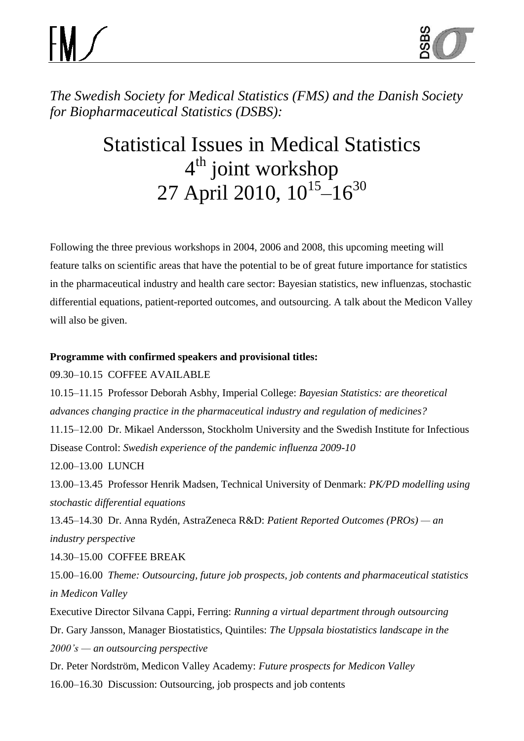

*The Swedish Society for Medical Statistics (FMS) and the Danish Society for Biopharmaceutical Statistics (DSBS):*

## Statistical Issues in Medical Statistics 4<sup>th</sup> joint workshop 27 April 2010,  $10^{15}$ – $16^{30}$

Following the three previous workshops in 2004, 2006 and 2008, this upcoming meeting will feature talks on scientific areas that have the potential to be of great future importance for statistics in the pharmaceutical industry and health care sector: Bayesian statistics, new influenzas, stochastic differential equations, patient-reported outcomes, and outsourcing. A talk about the Medicon Valley will also be given.

## **Programme with confirmed speakers and provisional titles:**

09.30–10.15 COFFEE AVAILABLE

10.15–11.15 Professor Deborah Asbhy, Imperial College: *Bayesian Statistics: are theoretical advances changing practice in the pharmaceutical industry and regulation of medicines?*

11.15–12.00 Dr. Mikael Andersson, Stockholm University and the Swedish Institute for Infectious Disease Control: *Swedish experience of the pandemic influenza 2009-10*

12.00–13.00 LUNCH

13.00–13.45 Professor Henrik Madsen, Technical University of Denmark: *PK/PD modelling using stochastic differential equations*

13.45–14.30 Dr. Anna Rydén, AstraZeneca R&D: *Patient Reported Outcomes (PROs) — an industry perspective*

14.30–15.00 COFFEE BREAK

15.00–16.00 *Theme: Outsourcing, future job prospects, job contents and pharmaceutical statistics in Medicon Valley*

Executive Director Silvana Cappi, Ferring: *Running a virtual department through outsourcing* Dr. Gary Jansson, Manager Biostatistics, Quintiles: *The Uppsala biostatistics landscape in the 2000's — an outsourcing perspective*

Dr. Peter Nordström, Medicon Valley Academy: *Future prospects for Medicon Valley* 16.00–16.30 Discussion: Outsourcing, job prospects and job contents